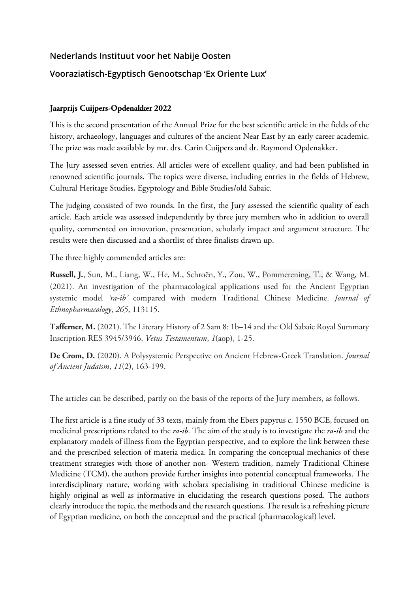## **Nederlands Instituut voor het Nabije Oosten**

## **Vooraziatisch-Egyptisch Genootschap 'Ex Oriente Lux'**

## **Jaarprijs Cuijpers-Opdenakker 2022**

This is the second presentation of the Annual Prize for the best scientific article in the fields of the history, archaeology, languages and cultures of the ancient Near East by an early career academic. The prize was made available by mr. drs. Carin Cuijpers and dr. Raymond Opdenakker.

The Jury assessed seven entries. All articles were of excellent quality, and had been published in renowned scientific journals. The topics were diverse, including entries in the fields of Hebrew, Cultural Heritage Studies, Egyptology and Bible Studies/old Sabaic.

The judging consisted of two rounds. In the first, the Jury assessed the scientific quality of each article. Each article was assessed independently by three jury members who in addition to overall quality, commented on innovation, presentation, scholarly impact and argument structure. The results were then discussed and a shortlist of three finalists drawn up.

The three highly commended articles are:

**Russell, J.**, Sun, M., Liang, W., He, M., Schroën, Y., Zou, W., Pommerening, T., & Wang, M. (2021). An investigation of the pharmacological applications used for the Ancient Egyptian systemic model *'ra-ib'* compared with modern Traditional Chinese Medicine. *Journal of Ethnopharmacology*, *265*, 113115.

**Tafferner, M.** (2021). The Literary History of 2 Sam 8: 1b–14 and the Old Sabaic Royal Summary Inscription RES 3945/3946. *Vetus Testamentum*, *1*(aop), 1-25.

**De Crom, D.** (2020). A Polysystemic Perspective on Ancient Hebrew-Greek Translation. *Journal of Ancient Judaism*, *11*(2), 163-199.

The articles can be described, partly on the basis of the reports of the Jury members, as follows.

The first article is a fine study of 33 texts, mainly from the Ebers papyrus c. 1550 BCE, focused on medicinal prescriptions related to the *ra-ib.* The aim of the study is to investigate the *ra-ib* and the explanatory models of illness from the Egyptian perspective, and to explore the link between these and the prescribed selection of materia medica. In comparing the conceptual mechanics of these treatment strategies with those of another non- Western tradition, namely Traditional Chinese Medicine (TCM), the authors provide further insights into potential conceptual frameworks. The interdisciplinary nature, working with scholars specialising in traditional Chinese medicine is highly original as well as informative in elucidating the research questions posed. The authors clearly introduce the topic, the methods and the research questions. The result is a refreshing picture of Egyptian medicine, on both the conceptual and the practical (pharmacological) level.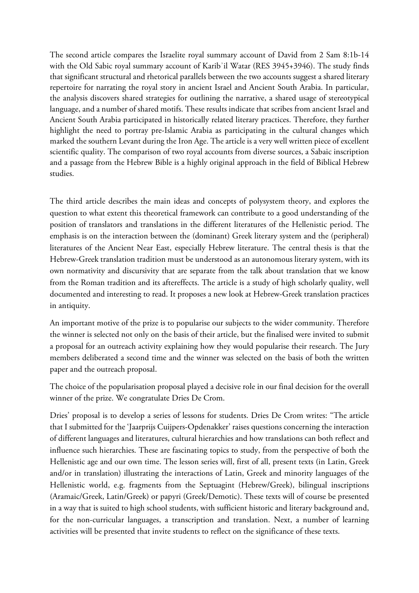The second article compares the Israelite royal summary account of David from 2 Sam 8:1b-14 with the Old Sabic royal summary account of Karibʾil Watar (RES 3945+3946). The study finds that significant structural and rhetorical parallels between the two accounts suggest a shared literary repertoire for narrating the royal story in ancient Israel and Ancient South Arabia. In particular, the analysis discovers shared strategies for outlining the narrative, a shared usage of stereotypical language, and a number of shared motifs. These results indicate that scribes from ancient Israel and Ancient South Arabia participated in historically related literary practices. Therefore, they further highlight the need to portray pre-Islamic Arabia as participating in the cultural changes which marked the southern Levant during the Iron Age. The article is a very well written piece of excellent scientific quality. The comparison of two royal accounts from diverse sources, a Sabaic inscription and a passage from the Hebrew Bible is a highly original approach in the field of Biblical Hebrew studies.

The third article describes the main ideas and concepts of polysystem theory, and explores the question to what extent this theoretical framework can contribute to a good understanding of the position of translators and translations in the different literatures of the Hellenistic period. The emphasis is on the interaction between the (dominant) Greek literary system and the (peripheral) literatures of the Ancient Near East, especially Hebrew literature. The central thesis is that the Hebrew-Greek translation tradition must be understood as an autonomous literary system, with its own normativity and discursivity that are separate from the talk about translation that we know from the Roman tradition and its aftereffects. The article is a study of high scholarly quality, well documented and interesting to read. It proposes a new look at Hebrew-Greek translation practices in antiquity.

An important motive of the prize is to popularise our subjects to the wider community. Therefore the winner is selected not only on the basis of their article, but the finalised were invited to submit a proposal for an outreach activity explaining how they would popularise their research. The Jury members deliberated a second time and the winner was selected on the basis of both the written paper and the outreach proposal.

The choice of the popularisation proposal played a decisive role in our final decision for the overall winner of the prize. We congratulate Dries De Crom.

Dries' proposal is to develop a series of lessons for students. Dries De Crom writes: "The article that I submitted for the 'Jaarprijs Cuijpers-Opdenakker' raises questions concerning the interaction of different languages and literatures, cultural hierarchies and how translations can both reflect and influence such hierarchies. These are fascinating topics to study, from the perspective of both the Hellenistic age and our own time. The lesson series will, first of all, present texts (in Latin, Greek and/or in translation) illustrating the interactions of Latin, Greek and minority languages of the Hellenistic world, e.g. fragments from the Septuagint (Hebrew/Greek), bilingual inscriptions (Aramaic/Greek, Latin/Greek) or papyri (Greek/Demotic). These texts will of course be presented in a way that is suited to high school students, with sufficient historic and literary background and, for the non-curricular languages, a transcription and translation. Next, a number of learning activities will be presented that invite students to reflect on the significance of these texts.